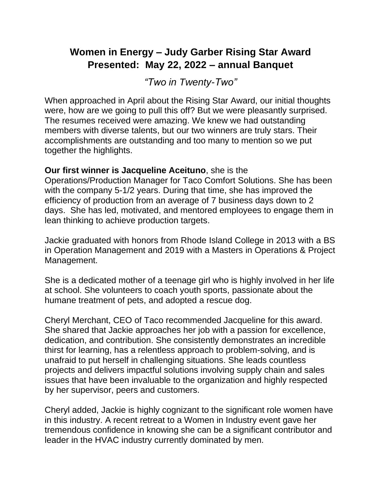## **Women in Energy – Judy Garber Rising Star Award Presented: May 22, 2022 – annual Banquet**

*"Two in Twenty-Two"*

When approached in April about the Rising Star Award, our initial thoughts were, how are we going to pull this off? But we were pleasantly surprised. The resumes received were amazing. We knew we had outstanding members with diverse talents, but our two winners are truly stars. Their accomplishments are outstanding and too many to mention so we put together the highlights.

## **Our first winner is Jacqueline Aceituno**, she is the

Operations/Production Manager for Taco Comfort Solutions. She has been with the company 5-1/2 years. During that time, she has improved the efficiency of production from an average of 7 business days down to 2 days. She has led, motivated, and mentored employees to engage them in lean thinking to achieve production targets.

Jackie graduated with honors from Rhode Island College in 2013 with a BS in Operation Management and 2019 with a Masters in Operations & Project Management.

She is a dedicated mother of a teenage girl who is highly involved in her life at school. She volunteers to coach youth sports, passionate about the humane treatment of pets, and adopted a rescue dog.

Cheryl Merchant, CEO of Taco recommended Jacqueline for this award. She shared that Jackie approaches her job with a passion for excellence, dedication, and contribution. She consistently demonstrates an incredible thirst for learning, has a relentless approach to problem-solving, and is unafraid to put herself in challenging situations. She leads countless projects and delivers impactful solutions involving supply chain and sales issues that have been invaluable to the organization and highly respected by her supervisor, peers and customers.

Cheryl added, Jackie is highly cognizant to the significant role women have in this industry. A recent retreat to a Women in Industry event gave her tremendous confidence in knowing she can be a significant contributor and leader in the HVAC industry currently dominated by men.